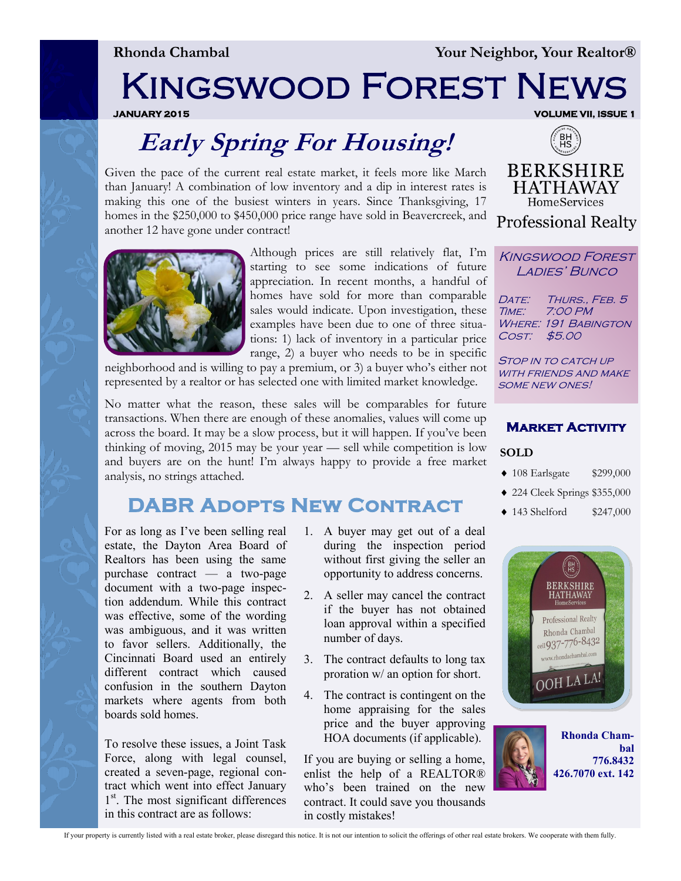**Rhonda Chambal Your Neighbor, Your Realtor®** 

# Kingswood Forest News

**JANUARY 2015 VOLUME VII, ISSUE 1** 

## **Early Spring For Housing!**

Given the pace of the current real estate market, it feels more like March than January! A combination of low inventory and a dip in interest rates is making this one of the busiest winters in years. Since Thanksgiving, 17 homes in the \$250,000 to \$450,000 price range have sold in Beavercreek, and another 12 have gone under contract!



Although prices are still relatively flat, I'm starting to see some indications of future appreciation. In recent months, a handful of homes have sold for more than comparable sales would indicate. Upon investigation, these examples have been due to one of three situations: 1) lack of inventory in a particular price range, 2) a buyer who needs to be in specific

neighborhood and is willing to pay a premium, or 3) a buyer who's either not represented by a realtor or has selected one with limited market knowledge.

No matter what the reason, these sales will be comparables for future transactions. When there are enough of these anomalies, values will come up across the board. It may be a slow process, but it will happen. If you've been thinking of moving, 2015 may be your year — sell while competition is low and buyers are on the hunt! I'm always happy to provide a free market analysis, no strings attached.

### **DABR Adopts New Contract**

For as long as I've been selling real estate, the Dayton Area Board of Realtors has been using the same purchase contract — a two-page document with a two-page inspection addendum. While this contract was effective, some of the wording was ambiguous, and it was written to favor sellers. Additionally, the Cincinnati Board used an entirely different contract which caused confusion in the southern Dayton markets where agents from both boards sold homes.

To resolve these issues, a Joint Task Force, along with legal counsel, created a seven-page, regional contract which went into effect January 1<sup>st</sup>. The most significant differences in this contract are as follows:

- 1. A buyer may get out of a deal during the inspection period without first giving the seller an opportunity to address concerns.
- 2. A seller may cancel the contract if the buyer has not obtained loan approval within a specified number of days.
- 3. The contract defaults to long tax proration w/ an option for short.
- 4. The contract is contingent on the home appraising for the sales price and the buyer approving HOA documents (if applicable).

If you are buying or selling a home, enlist the help of a REALTOR® who's been trained on the new contract. It could save you thousands in costly mistakes!



**BERKSHIRE HATHAWAY** HomeServices **Professional Realty** 

Kingswood Forest LADIES' BUNCO

DATE: THURS., FEB. 5 Time: 7:00 PM **WHERE: 191 BABINGTON** Cost: \$5.00

STOP IN TO CATCH UP WITH FRIENDS AND MAKE some new ones!



#### **SOLD**

- ◆ 108 Earlsgate \$299,000
- 224 Cleek Springs \$355,000
- ◆ 143 Shelford \$247,000